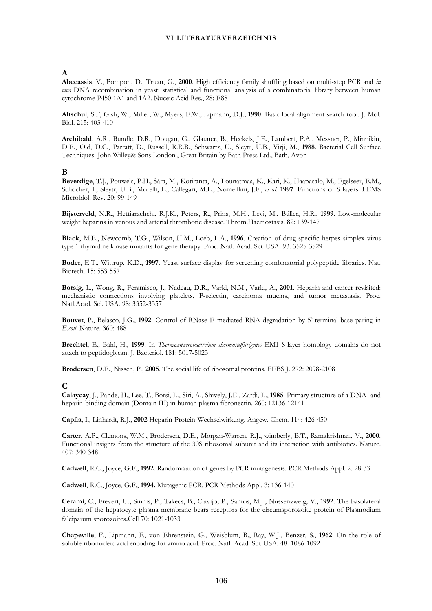# **A**

**Abecassis**, V., Pompon, D., Truan, G., **2000**. High efficiency family shuffling based on multi-step PCR and *in vivo* DNA recombination in yeast: statistical and functional analysis of a combinatorial library between human cytochrome P450 1A1 and 1A2. Nuceic Acid Res., 28: E88

**Altschul**, S.F, Gish, W., Miller, W., Myers, E.W., Lipmann, D.J., **1990**. Basic local alignment search tool. J. Mol. Biol. 215: 403-410

**Archibald**, A.R., Bundle, D.R., Dougan, G., Glauner, B., Heckels, J.E., Lambert, P.A., Messner, P., Minnikin, D.E., Old, D.C., Parratt, D., Russell, R.R.B., Schwartz, U., Sleytr, U.B., Virji, M., **1988**. Bacterial Cell Surface Techniques. John Willey& Sons London., Great Britain by Bath Press Ltd., Bath, Avon

### **B**

**Beverdige**, T.J., Pouwels, P.H., Sára, M., Kotiranta, A., Lounatmaa, K., Kari, K., Haapasalo, M., Egelseer, E.M., Schocher, I., Sleytr, U.B., Morelli, L., Callegari, M.L., Nomelllini, J.F., *et al*. **1997**. Functions of S-layers. FEMS Microbiol. Rev. 20: 99-149

**Bijsterveld**, N.R., Hettiarachchi, R.J.K., Peters, R., Prins, M.H., Levi, M., Büller, H.R., **1999**. Low-molecular weight heparins in venous and arterial thrombotic disease. Throm.Haemostasis. 82: 139-147

**Black**, M.E., Newcomb, T.G., Wilson, H.M., Loeb, L.A., **1996**. Creation of drug-specific herpes simplex virus type 1 thymidine kinase mutants for gene therapy. Proc. Natl. Acad. Sci. USA. 93: 3525-3529

**Boder**, E.T., Wittrup, K.D., **1997**. Yeast surface display for screening combinatorial polypeptide libraries. Nat. Biotech. 15: 553-557

**Borsig**, L., Wong, R., Feramisco, J., Nadeau, D.R., Varki, N.M., Varki, A., **2001**. Heparin and cancer revisited: mechanistic connections involving platelets, P-selectin, carcinoma mucins, and tumor metastasis. Proc. Natl.Acad. Sci. USA. 98: 3352-3357

**Bouvet**, P., Belasco, J.G., **1992**. Control of RNase E mediated RNA degradation by 5'-terminal base paring in *E.coli*. Nature. 360: 488

**Brechtel**, E., Bahl, H., **1999**. In *Thermoanaerobactreium thermosulfurigenes* EM1 S-layer homology domains do not attach to peptidoglycan. J. Bacteriol. 181: 5017-5023

**Brodersen**, D.E., Nissen, P., **2005**. The social life of ribosomal proteins. FEBS J. 272: 2098-2108

# **C**

**Calaycay**, J., Pande, H., Lee, T., Borsi, L., Siri, A., Shively, J.E., Zardi, L., **1985**. Primary structure of a DNA- and heparin-binding domain (Domain III) in human plasma fibronectin. 260: 12136-12141

**Capila**, I., Linhardt, R.J., **2002** Heparin-Protein-Wechselwirkung. Angew. Chem. 114: 426-450

**Carter**, A.P., Clemons, W.M., Brodersen, D.E., Morgan-Warren, R.J., wimberly, B.T., Ramakrishnan, V., **2000**. Functional insights from the structure of the 30S ribosomal subunit and its interaction with antibiotics. Nature. 407: 340-348

**Cadwell**, R.C., Joyce, G.F., **1992**. Randomization of genes by PCR mutagenesis. PCR Methods Appl. 2: 28-33

**Cadwell**, R.C., Joyce, G.F., **1994.** Mutagenic PCR. PCR Methods Appl. 3: 136-140

**Cerami**, C., Frevert, U., Sinnis, P., Takecs, B., Clavijo, P., Santos, M.J., Nussenzweig, V., **1992**. The basolateral domain of the hepatocyte plasma membrane bears receptors for the circumsporozoite protein of Plasmodium falciparum sporozoites.Cell 70: 1021-1033

**Chapeville**, F., Lipmann, F., von Ehrenstein, G., Weisblum, B., Ray, W.J., Benzer, S., **1962**. On the role of soluble ribonucleic acid encoding for amino acid. Proc. Natl. Acad. Sci. USA. 48: 1086-1092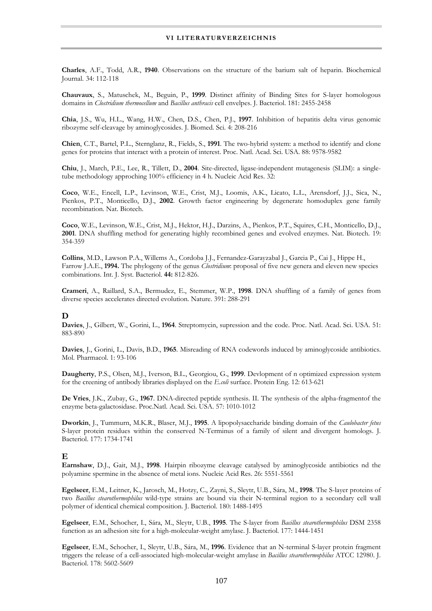**Charles**, A.F., Todd, A.R., **1940**. Observations on the structure of the barium salt of heparin. Biochemical Journal. 34: 112-118

**Chauvaux**, S., Matuschek, M., Beguin, P., **1999**. Distinct affinity of Binding Sites for S-layer homologous domains in *Clostridium thermocellum* and *Bacillus anthracis* cell envelpes. J. Bacteriol. 181: 2455-2458

**Chia**, J.S., Wu, H.L., Wang, H.W., Chen, D.S., Chen, P.J., **1997**. Inhibition of hepatitis delta virus genomic ribozyme self-cleavage by aminoglycosides. J. Biomed. Sci. 4: 208-216

**Chien**, C.T., Bartel, P.L., Sternglanz, R., Fields, S., **1991**. The two-hybrid system: a method to identify and clone genes for proteins that interact with a protein of interest. Proc. Natl. Acad. Sci. USA. 88: 9578-9582

**Chiu**, J., March, P.E., Lee, R., Tillett, D., **2004**. Site-directed, ligase-independent mutagenesis (SLIM): a singletube methodology approching 100% efficiency in 4 h. Nucleic Acid Res. 32:

**Coco**, W.E., Encell, L.P., Levinson, W.E., Crist, M.J., Loomis, A.K., Licato, L.L., Arensdorf, J.J., Sica, N., Pienkos, P.T., Monticello, D.J., **2002**. Growth factor engineering by degenerate homoduplex gene family recombination. Nat. Biotech.

**Coco**, W.E., Levinson, W.E., Crist, M.J., Hektor, H.J., Darzins, A., Pienkos, P.T., Squires, C.H., Monticello, D.J., **2001**. DNA shuffling method for generating highly recombined genes and evolved enzymes. Nat. Biotech. 19: 354-359

**Collins**, M.D., Lawson P.A., Willems A., Cordoba J.J., Fernandez-Garayzabal J., Garcia P., Cai J., Hippe H., Farrow J.A.E., **1994.** The phylogeny of the genus *Clostridium*: proposal of five new genera and eleven new species combinations. Int. J. Syst. Bacteriol. **44:** 812-826.

**Crameri**, A., Raillard, S.A., Bermudez, E., Stemmer, W.P., **1998**. DNA shuffling of a family of genes from diverse species accelerates directed evolution. Nature. 391: 288-291

#### **D**

**Davies**, J., Gilbert, W., Gorini, L., **1964**. Streptomycin, supression and the code. Proc. Natl. Acad. Sci. USA. 51: 883-890

**Davies**, J., Gorini, L., Davis, B.D., **1965**. Misreading of RNA codewords induced by aminoglycoside antibiotics. Mol. Pharmacol. 1: 93-106

**Daugherty**, P.S., Olsen, M.J., Iverson, B.L., Georgiou, G., **1999**. Devlopment of n optimized expression system for the creening of antibody libraries displayed on the *E.coli* surface. Protein Eng. 12: 613-621

**De Vries**, J.K., Zubay, G., **1967**. DNA-directed peptide synthesis. II. The synthesis of the alpha-fragmentof the enzyme beta-galactosidase. Proc.Natl. Acad. Sci. USA. 57: 1010-1012

**Dworkin**, J., Tummurn, M.K.R., Blaser, M.J., **1995**. A lipopolysaccharide binding domain of the *Caulobacter fetus* S-layer protein residues within the conserved N-Terminus of a family of silent and divergent homologs. J. Bacteriol. 177: 1734-1741

#### **E**

**Earnshaw**, D.J., Gait, M.J., **1998**. Hairpin ribozyme cleavage catalysed by aminoglycoside antibiotics nd the polyamine spermine in the absence of metal ions. Nucleic Acid Res. 26: 5551-5561

**Egelseer**, E.M., Leitner, K., Jarosch, M., Hotzy, C., Zayni, S., Sleytr, U.B., Sára, M., **1998**. The S-layer proteins of two *Bacillus stearothermophilus* wild-type strains are bound via their N-terminal region to a secondary cell wall polymer of identical chemical composition. J. Bacteriol. 180: 1488-1495

**Egelseer**, E.M., Schocher, I., Sára, M., Sleytr, U.B., **1995**. The S-layer from *Bacillus stearothermophilus* DSM 2358 function as an adhesion site for a high-molecular-weight amylase. J. Bacteriol. 177: 1444-1451

**Egelseer**, E.M., Schocher, I., Sleytr, U.B., Sára, M., **1996**. Evidence that an N-terminal S-layer protein fragment triggers the release of a cell-associated high-molecular-weight amylase in *Bacillus stearothermophilus* ATCC 12980. J. Bacteriol. 178: 5602-5609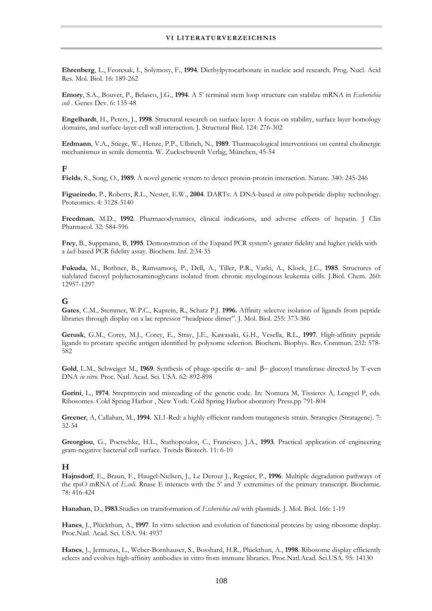**Ehrenberg**, L., Feorcsak, I., Solymosy, F., **1994**. Diethylpyrocarbonate in nucleic acid research. Prog. Nucl. Acid Res. Mol. Biol. 16: 189-262

**Emory**, S.A., Bouvet, P., Belasco, J.G., **1994**. A 5' terminal stem loop structure can stabilze mRNA in *Escherichia coli* . Genes Dev. 6: 135-48

**Engelhardt**, H., Peters, J., **1998**. Structural research on surface layer: A focus on stability, surface layer homology domains, and surface-layer-cell wall interaction. J. Structural Biol. 124: 276-302

**Erdmann**, V.A., Stiege, W., Henze, P.P., Ulbrich, N., **1989**. Tharmacological interventions on central cholinergic mechanismus in senile dementia. W. Zuckschwerdt Verlag, München, 45-54

#### **F**

**Fields**, S., Song, O., **1989**. A novel genetic system to detect protein-protein interaction. Nature. 340: 245-246

**Figueiredo**, P., Roberts, R.L., Nester, E.W., **2004**. DARTs: A DNA-based *in vitro* polypetide display technology. Proteomics. 4: 3128-3140

**Freedman**, M.D., **1992**. Pharmacodynamics, clinical indications, and adverse effects of heparin. J Clin Pharmacol. 32: 584-596

**Frey**, B., Suppmann, B, **1995**. Demonstration of the Expand PCR system's greater fidelity and higher yields with a *lacI*-based PCR fidelity assay. Biochem. Inf. 2:34-35

**Fukuda**, M., Bothner, B., Ramsamooj, P., Dell, A., Tiller, P.R., Varki, A., Klock, J.C., **1985**. Structures of sialylated fucosyl polylactosaminoglycans isolated from chronic myelogenous leukemia cells. J.Biol. Chem. 260: 12957-1297

### **G**

**Gates**, C.M., Stemmer, W.P.C., Kaptein, R., Schatz P.J. **1996.** Affinity selectve isolation of ligands from peptide libraries through display on a lac repressor "headpiece dimer". J. Mol. Biol. 255: 373-386

**Gerusk**, G.M., Corey, M.J., Corey, E., Stray, J.E., Kawasaki, G.H., Vesella, R.L., **1997**. High-affinity peptide ligands to prostate specific antigen identified by polysome selection. Biochem. Biophys. Res. Commun. 232: 578- 582

**Gold**, L.M., Schweiger M., **1969**. Synthesis of phage-specific α− and β− glucosyl transferase directed by T-even DNA *in vitro*. Proc. Natl. Acad. Sci. USA. 62: 892-898

**Gorini**, L., **1974**. Streptmycin and misreading of the genetic code. In: Nomura M, Tissieres A, Lengyel P, eds. Ribosomes. Cold Spring Harbor , New York: Cold Spring Harbor aboratory Press.pp 791-804

**Greener**, A, Callahan, M., **1994**. XL1-Red: a highly efficient random mutagenesis strain. Strategies (Stratagene). 7: 32-34

**Greorgiou**, G., Poetschke, H.L., Stathopoulos, C., Francisco, J.A., **1993**. Practical application of engineering gram-negative bacterial cell surface. Trends Biotech. 11: 6-10

### **H**

**Hajnsdorf**, E., Braun, F., Haugel-Nielsen, J., Le Derout J., Regnier, P., **1996**. Multiple degradation pathways of the rpsO mRNA of *E.coli*. Rnase E interacts with the 5' and 3' extremities of the primary transcript. Biochimie. 78: 416-424

**Hanahan**, D., **1983**.Studies on transformation of *Escherichia coli* with plasmids. J. Mol. Biol. 166: 1-19

**Hanes**, J., Plückthun, A., **1997**. In vitro selection and evolution of functional proteins by using ribosome display. Proc.Natl. Acad. Sci. USA. 94: 4937

**Hanes**, J., Jermutus, L., Weber-Bornhauser, S., Bosshard, H.R., Plückthun, A., **1998**. Ribosome display efficiently selects and evolves high-affinity antibodies in vitro from immune libraries. Proc.Natl.Acad. Sci.USA. 95: 14130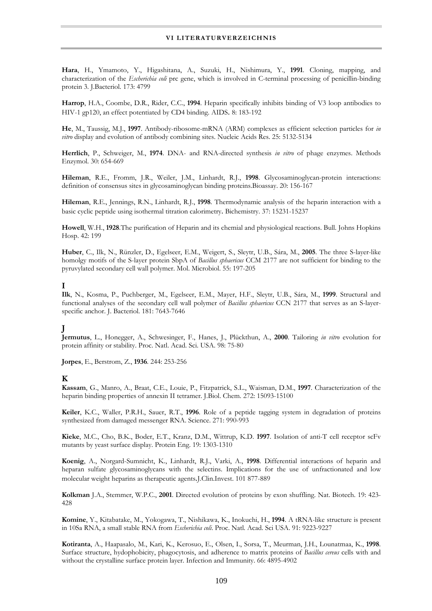**Hara**, H., Ymamoto, Y., Higashitana, A., Suzuki, H., Nishimura, Y., **1991**. Cloning, mapping, and characterization of the *Escherichia coli* prc gene, which is involved in C-terminal processing of penicillin-binding protein 3. J.Bacteriol. 173: 4799

**Harrop**, H.A., Coombe, D.R., Rider, C.C., **1994**. Heparin specifically inhibits binding of V3 loop antibodies to HIV-1 gp120, an effect potentiated by CD4 binding. AIDS. 8: 183-192

**He**, M., Taussig, M.J., **1997**. Antibody-ribosome-mRNA (ARM) complexes as efficient selection particles for *in vitro* display and evolution of antibody combining sites. Nucleic Acids Res. 25: 5132-5134

**Herrlich**, P., Schweiger, M., **1974**. DNA- and RNA-directed synthesis *in vitro* of phage enzymes. Methods Enzymol. 30: 654-669

**Hileman**, R.E., Fromm, J.R., Weiler, J.M., Linhardt, R.J., **1998**. Glycosaminoglycan-protein interactions: definition of consensus sites in glycosaminoglycan binding proteins.Bioassay. 20: 156-167

**Hileman**, R.E., Jennings, R.N., Linhardt, R.J., **1998**. Thermodynamic analysis of the heparin interaction with a basic cyclic peptide using isothermal titration calorimetry. Bichemistry. 37: 15231-15237

**Howell**, W.H., **1928**.The purification of Heparin and its chemial and physiological reactions. Bull. Johns Hopkins Hosp. 42: 199

**Huber**, C., Ilk, N., Rünzler, D., Egelseer, E.M., Weigert, S., Sleytr, U.B., Sára, M., **2005**. The three S-layer-like homolgy motifs of the S-layer protein SbpA of *Bacillus sphaericus* CCM 2177 are not sufficient for binding to the pyruvylated secondary cell wall polymer. Mol. Microbiol. 55: 197-205

#### **I**

**Ilk**, N., Kosma, P., Puchberger, M., Egelseer, E.M., Mayer, H.F., Sleytr, U.B., Sára, M., **1999**. Structural and functional analyses of the secondary cell wall polymer of *Bacillus sphaericus* CCN 2177 that serves as an S-layerspecific anchor. J. Bacteriol. 181: 7643-7646

#### **J**

**Jermutus**, L., Honegger, A., Schwesinger, F., Hanes, J., Plückthun, A., **2000**. Tailoring *in vitro* evolution for protein affinity or stability. Proc. Natl. Acad. Sci. USA. 98: 75-80

**Jorpes**, E., Berstrom, Z., **1936**. 244: 253-256

#### **K**

**Kassam**, G., Manro, A., Braat, C.E., Louie, P., Fitzpatrick, S.L., Waisman, D.M., **1997**. Characterization of the heparin binding properties of annexin II tetramer. J.Biol. Chem. 272: 15093-15100

**Keiler**, K.C., Waller, P.R.H., Sauer, R.T., **1996**. Role of a peptide tagging system in degradation of proteins synthesized from damaged messenger RNA. Science. 271: 990-993

**Kieke**, M.C., Cho, B.K., Boder, E.T., Kranz, D.M., Wittrup, K.D. **1997**. Isolation of anti-T cell receptor scFv mutants by yeast surface display. Protein Eng. 19: 1303-1310

**Koenig**, A., Norgard-Sumnicht, K., Linhardt, R.J., Varki, A., **1998**. Differential interactions of heparin and heparan sulfate glycosaminoglycans with the selectins. Implications for the use of unfractionated and low molecular weight heparins as therapeutic agents.J.Clin.Invest. 101 877-889

**Kolkman** J.A., Stemmer, W.P.C., **2001**. Directed evolution of proteins by exon shuffling. Nat. Biotech. 19: 423- 428

**Komine**, Y., Kitabatake, M., Yokogawa, T., Nishikawa, K., Inokuchi, H., **1994**. A tRNA-like structure is present in 10Sa RNA, a small stable RNA from *Escherichia coli*. Proc. Natl. Acad. Sci USA. 91: 9223-9227

**Kotiranta**, A., Haapasalo, M., Kari, K., Kerosuo, E., Olsen, I., Sorsa, T., Meurman, J.H., Lounatmaa, K., **1998**. Surface structure, hydophobicity, phagocytosis, and adherence to matrix proteins of *Bacillus cereus* cells with and without the crystalline surface protein layer. Infection and Immunity. 66: 4895-4902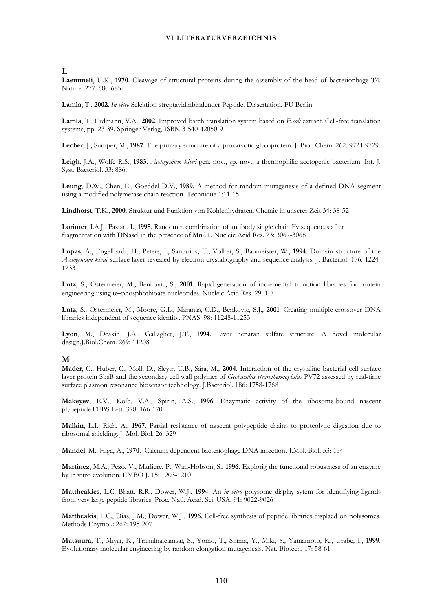#### **L**

**Laemmeli**, U.K., **1970**. Cleavage of structural proteins during the assembly of the head of bacteriophage T4. Nature. 277: 680-685

**Lamla**, T., **2002**. *In vitro* Selektion streptavidinbindender Peptide. Dissertation, FU Berlin

**Lamla**, T., Erdmann, V.A., **2002**. Improved batch translation system based on *E.coli* extract. Cell-free translation systems, pp. 23-39. Springer Verlag, ISBN 3-540-42050-9

**Lecher**, J., Sumper, M., **1987**. The primary structure of a procaryotic glycoprotein. J. Biol. Chem. 262: 9724-9729

**Leigh**, J.A., Wolfe R.S., **1983**. *Acetogenium kivui* gen. nov., sp. nov., a thermophilic acetogenic bacterium. Int. J. Syst. Bacteriol. 33: 886.

**Leung**, D.W., Chen, E., Goeddel D.V., **1989**. A method for random mutagenesis of a defined DNA segment using a modified polymerase chain reaction. Technique 1:11-15

**Lindhorst**, T.K., **2000**. Struktur und Funktion von Kohlenhydraten. Chemie in unserer Zeit 34: 38-52

**Lorimer**, I.A.J., Pastan, I., **1995**. Random recombination of antibody single chain Fv sequences after fragmentation with DNasel in the presence of Mn2+. Nucleic Acid Res. 23: 3067-3068

**Lupas**, A., Engelhardt, H., Peters, J., Santarius, U., Volker, S., Baumeister, W., **1994**. Domain structure of the *Acetogenium kivui* surface layer revealed by electron crystallography and sequence analysis. J. Bacteriol. 176: 1224- 1233

**Lutz**, S., Ostermeier, M., Benkovic, S., **2001**. Rapid generation of incremental trunction libraries for protein engineering using α−phosphothioate nucleotides. Nucleic Acid Res. 29: 1-7

**Lutz**, S., Ostermeier, M., Moore, G.L., Maranas, C.D., Benkovic, S.J., **2001**. Creating multiple-crossover DNA libraries independent of sequence identity. PNAS. 98: 11248-11253

**Lyon**, M., Deakin, J.A., Gallagher, J.T., **1994**. Liver heparan sulfate structure. A novel molecular design.J.Biol.Chem. 269: 11208

#### **M**

**Mader**, C., Huber, C., Moll, D., Sleytr, U.B., Sára, M., **2004**. Interaction of the crystaline bacterial cell surface layer protein SbsB and the secondary cell wall polymer of *Geobacillus stearothermophilus* PV72 assessed by real-time surface plasmon resonance biosensor technology. J.Bacteriol. 186: 1758-1768

**Makeyev**, E.V., Kolb, V.A., Spirin, A.S., **1996**. Enzymatic activity of the ribosome-bound nascent plypeptide.FEBS Lett. 378: 166-170

**Malkin**, L.I., Rich, A., **1967**. Partial resistance of nascent polypeptide chains to proteolytic digestion due to ribosomal shielding. J. Mol. Biol. 26: 329

**Mandel**, M., Higa, A., **1970**. Calcium-dependent bacteriophage DNA infection. J.Mol. Biol. 53: 154

**Martinez**, M.A., Pezo, V., Marliere, P., Wan-Hobson, S., **1996**. Explorig the functional robustness of an enzyme by in vitro evolution. EMBO J. 15: 1203-1210

**Mattheakies**, L.C. Bhatt, R.R., Dower, W.J., **1994**. An *in vitro* polysome display sytem for identifiying ligands from very large peptide libraries. Proc. Natl. Acad. Sci. USA. 91: 9022-9026

**Mattheakis**, L.C., Dias, J.M., Dower, W.J., **1996**. Cell-free synthesis of peptide libraries displaed on polysomes. Methods Enymol.: 267: 195-207

**Matsuura**, T., Miyai, K., Trakulnaleamsai, S., Yomo, T., Shima, Y., Miki, S., Yamamoto, K., Urabe, I., **1999**. Evolutionary molecular engineering by random elongation mutagenesis. Nat. Biotech. 17: 58-61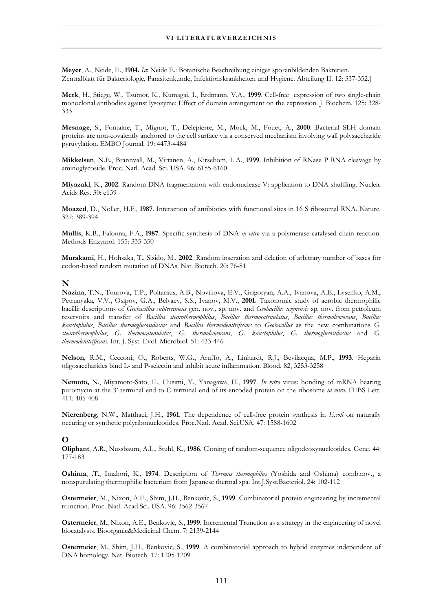**Meyer**, A., Neide, E., **1904.** *In*: Neide E.: Botanische Beschreibung einiger sporenbildenden Bakterien. Zentralblatt für Bakteriologie, Parasitenkunde, Infektionskrankheiten und Hygiene. Abteilung II. 12: 337-352.]

**Merk**, H., Stiege, W., Tsumot, K., Kumagai, I., Erdmann, V.A., **1999**. Cell-free expression of two single-chain monoclonal antibodies against lysozyme: Effect of domain arrangement on the expression. J. Biochem. 125: 328- 333

**Mesnage**, S., Fontaine, T., Mignot, T., Delepierre, M., Mock, M., Fouet, A., **2000**. Bacterial SLH domain proteins are non-covalently anchored to the cell surface via a conserved mechanism involving wall polysaccharide pyruvylation. EMBO Journal. 19: 4473-4484

**Mikkelsen**, N.E., Brannvall, M., Virtanen, A., Kirsebom, L.A., **1999**. Inhibition of RNase P RNA cleavage by aminoglycoside. Proc. Natl. Acad. Sci. USA. 96: 6155-6160

**Miyazaki**, K., **2002**. Random DNA fragmentation with endonuclease V: application to DNA shuffling. Nucleic Acids Res. 30: e139

**Moazed**, D., Noller, H.F., **1987**. Interaction of antibiotics with functional sites in 16 S ribosomal RNA. Nature. 327: 389-394

**Mullis**, K.B., Faloona, F.A., **1987**. Specific synthesis of DNA *in vitro* via a polymerase-catalysed chain reaction. Methods Enzymol. 155: 335-350

**Murakami**, H., Hohsaka, T., Sisido, M., **2002**. Random inseration and deletion of arbitrary number of bases for codon-based random mutation of DNAs. Nat. Biotech. 20: 76-81

### **N**

**Nazina**, T.N., Tourova, T.P., Poltaraus, A.B., Novikova, E.V., Grigoryan, A.A., Ivanova, A.E., Lysenko, A.M., Petrunyaka, V.V., Osipov, G.A., Belyaev, S.S., Ivanov, M.V., **2001.** Taxonomic study of aerobic thermophilic bacilli: descriptions of *Geobacillus subterraneus* gen. nov., sp. nov. and *Geobacillus uzenensis* sp. nov. from petroleum reservoirs and transfer of *Bacillus stearothermophilus*, *Bacillus thermocatenulatus*, *Bacillus thermoleovorans*, *Bacillus kaustophilus*, *Bacillus thermoglucosidasius* and *Bacillus thermodenitrificans* to *Geobacillus* as the new combinations *G*. *stearothermophilus*, *G*. *thermocatenulatus*, *G*. *thermoleovorans*, *G*. *kaustophilus*, *G*. *thermoglucosidasius* and *G*. *thermodenitrificans*. Int. J. Syst. Evol. Microbiol. 51: 433-446

**Nelson**, R.M., Cecconi, O., Roberts, W.G., Aruffo, A., Linhardt, R.J., Bevilacqua, M.P., **1993**. Heparin oligosaccharides bind L- and P-selectin and inhibit acute inflammation. Blood. 82, 3253-3258

**Nemoto,** N., Miyamoto-Sato, E., Husimi, Y., Yanagawa, H., **1997**. *In vitro* virus: bonding of mRNA bearing puromycin at the 3'-terminal end to C-terminal end of its encoded protein on the ribosome *in vitro*. FEBS Lett. 414: 405-408

**Nierenberg**, N.W., Matthaei, J.H., **1961**. The dependence of cell-free protein synthesis in *E.coli* on naturally occuring or synthetic polyribonucleotides. Proc.Natl. Acad. Sci.USA. 47: 1588-1602

#### **O**

**Oliphant**, A.R., Nussbaum, A.L., Stuhl, K., **1986**. Cloning of random-sequence oligodeoxynucleotides. Gene. 44: 177-183

**Oshima**, .T., Imahori, K., **1974**. Description of *Thremus thermophilus* (Yoshida and Oshima) comb.nov., a nonspurulating thermophilic bacterium from Japanese thermal spa. Int.J.Syst.Bacteriol. 24: 102-112

**Ostermeier**, M., Nixon, A.E., Shim, J.H., Benkovic, S., **1999**. Combinatorial protein engineering by incremental trunction. Proc. Natl. Acad.Sci. USA. 96: 3562-3567

**Ostermeier**, M., Nixon, A.E., Benkovic, S., **1999**. Incremental Trunction as a strategy in the engineering of novel biocatalysts. Bioorganic&Medicinal Chem. 7: 2139-2144

**Ostermeier**, M., Shim, J.H., Benkovic, S., **1999**. A combinatorial approach to hybrid enzymes independent of DNA homology. Nat. Biotech. 17: 1205-1209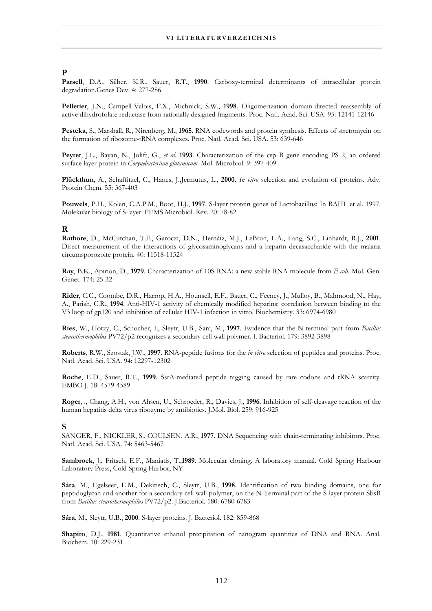### **P**

**Parsell**, D.A., Silber, K.R., Sauer, R.T., **1990**. Carboxy-terminal determinants of intracellular protein degradation.Genes Dev. 4: 277-286

**Pelletier**, J.N., Campell-Valois, F.X., Michnick, S.W., **1998**. Oligomerization domain-directed reassembly of active dihydrofolate reductase from rationally designed fragments. Proc. Natl. Acad. Sci. USA. 95: 12141-12146

**Pesteka**, S., Marshall, R., Nirenberg, M., **1965**. RNA codewords and protein synthesis. Effects of stretomycin on the formation of ribosome-tRNA complexes. Proc. Natl. Acad. Sci. USA. 53: 639-646

**Peyret**, J.L., Bayan, N., Jolift, G., *et al*. **1993**. Characterization of the csp B gene encoding PS 2, an ordered surface layer protein in *Corynebacterium glutamicum*. Mol. Microbiol. 9: 397-409

**Plückthun**, A., Schaffitzel, C., Hanes, J.,Jermutus, L., **2000.** *In vitro* selection and evolution of proteins. Adv. Protein Chem. 55: 367-403

**Pouwels**, P.H., Kolen, C.A.P.M., Boot, H.J., **1997**. S-layer protein genes of Lactobacillus: In BAHL et al. 1997. Molekular biology of S-layer. FEMS Microbiol. Rev. 20: 78-82

### **R**

**Rathore**, D., McCutchan, T.F., Garoczi, D.N., Hernáiz, M.J., LeBrun, L.A., Lang, S.C., Linhardt, R.J., **2001**. Direct measurement of the interactions of glycosaminoglycans and a heparin decasaccharide with the malaria circumsporozoite protein. 40: 11518-11524

**Ray**, B.K., Apirion, D., **1979**. Characterization of 10S RNA: a new stable RNA molecule from *E.coli*. Mol. Gen. Genet. 174: 25-32

**Rider**, C.C., Coombe, D.R., Harrop, H.A., Hounsell, E.F., Bauer, C., Feeney, J., Mulloy, B., Mahmood, N., Hay, A., Parish, C.R., **1994**. Anti-HIV-1 activity of chemically modified heparins: correlation between binding to the V3 loop of gp120 and inhibition of cellular HIV-1 infection in vitro. Biochemistry. 33: 6974-6980

**Ries**, W., Hotzy, C., Schocher, I., Sleytr, U.B., Sára, M., **1997**. Evidence that the N-terminal part from *Bacillus stearothermophilus* PV72/p2 recognizes a secondary cell wall polymer. J. Bacteriol. 179: 3892-3898

**Roberts**, R.W., Szostak, J.W., **1997**. RNA-peptide fusions for the *in vitro* selection of peptides and proteins. Proc. Natl. Acad. Sci. USA. 94: 12297-12302

**Roche**, E.D., Sauer, R.T., **1999**. SsrA-mediated peptide tagging caused by rare codons and tRNA scarcity. EMBO J. 18: 4579-4589

**Roger**, ., Chang, A.H., von Ahsen, U., Schroeder, R., Davies, J., **1996**. Inhibition of self-cleavage reaction of the human hepatitis delta virus ribozyme by antibiotics. J.Mol. Biol. 259: 916-925

### **S**

SANGER, F., NICKLER, S., COULSEN, A.R., **1977**. DNA Sequencing with chain-terminating inhibitors. Proc. Natl. Acad. Sci. USA. 74: 5463-5467

**Sambrock**, J., Fritsch, E.F., Maniatis, T.,**1989**. Molecular cloning. A laboratory manual. Cold Spring Harbour Laboratory Press, Cold Spring Harbor, NY

**Sára**, M., Egelseer, E.M., Dekitisch, C., Sleytr, U.B., **1998**. Identification of two binding domains, one for peptidoglycan and another for a secondary cell wall polymer, on the N-Terminal part of the S-layer protein SbsB from *Bacillus stearothermophilus* PV72/p2. J.Bacteriol. 180: 6780-6783

**Sára**, M., Sleytr, U.B., **2000**. S-layer proteins. J. Bacteriol. 182: 859-868

**Shapiro**, D.J., **1981**. Quantitative ethanol precipitation of nanogram quantities of DNA and RNA. Anal. Biochem. 10: 229-231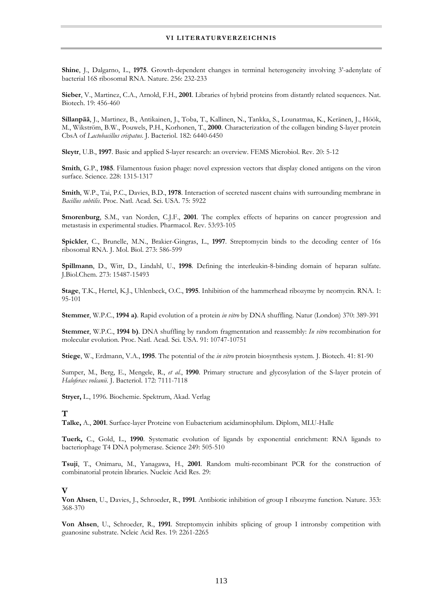**Shine**, J., Dalgarno, L., **1975**. Growth-dependent changes in terminal heterogeneity involving 3'-adenylate of bacterial 16S ribosomal RNA. Nature. 256: 232-233

**Sieber**, V., Martinez, C.A., Arnold, F.H., **2001**. Libraries of hybrid proteins from distantly related sequences. Nat. Biotech. 19: 456-460

**Sillanpää**, J., Martinez, B., Antikainen, J., Toba, T., Kallinen, N., Tankka, S., Lounatmaa, K., Keränen, J., Höök, M., Wikström, B.W., Pouwels, P.H., Korhonen, T., **2000**. Characterization of the collagen binding S-layer protein CbsA of *Lactobacillus crispatus*. J. Bacteriol. 182: 6440-6450

**Sleytr**, U.B., **1997**. Basic and applied S-layer research: an overview. FEMS Microbiol. Rev. 20: 5-12

**Smith**, G.P., **1985**. Filamentous fusion phage: novel expression vectors that display cloned antigens on the viron surface. Science. 228: 1315-1317

**Smith**, W.P., Tai, P.C., Davies, B.D., **1978**. Interaction of secreted nascent chains with surrounding membrane in *Bacillus subtilis*. Proc. Natl. Acad. Sci. USA. 75: 5922

**Smorenburg**, S.M., van Norden, C.J.F., **2001**. The complex effects of heparins on cancer progression and metastasis in experimental studies. Pharmacol. Rev. 53:93-105

**Spickler**, C., Brunelle, M.N., Brakier-Gingras, L., **1997**. Streptomycin binds to the decoding center of 16s ribosomal RNA. J. Mol. Biol. 273: 586-599

**Spillmann**, D., Witt, D., Lindahl, U., **1998**. Defining the interleukin-8-binding domain of heparan sulfate. J.Biol.Chem. 273: 15487-15493

**Stage**, T.K., Hertel, K.J., Uhlenbeck, O.C., **1995**. Inhibition of the hammerhead ribozyme by neomycin. RNA. 1: 95-101

**Stemmer**, W.P.C., **1994 a)**. Rapid evolution of a protein *in vitro* by DNA shuffling. Natur (London) 370: 389-391

**Stemmer**, W.P.C., **1994 b)**. DNA shuffling by random fragmentation and reassembly: *In vitro* recombination for molecular evolution. Proc. Natl. Acad. Sci. USA. 91: 10747-10751

**Stiege**, W., Erdmann, V.A., **1995**. The potential of the *in vitro* protein biosynthesis system. J. Biotech. 41: 81-90

Sumper, M., Berg, E., Mengele, R., *et al.*, **1990**. Primary structure and glycosylation of the S-layer protein of *Haloferax volcanii*. J. Bacteriol. 172: 7111-7118

**Stryer,** L., 1996. Biochemie. Spektrum, Akad. Verlag

#### **T**

**Talke,** A., **2001**. Surface-layer Proteine von Eubacterium acidaminophilum. Diplom, MLU-Halle

**Tuerk,** C., Gold, L., **1990**. Systematic evolution of ligands by exponential enrichment: RNA ligands to bacteriophage T4 DNA polymerase. Science 249: 505-510

**Tsuji**, T., Onimaru, M., Yanagawa, H., **2001**. Random multi-recombinant PCR for the construction of combinatorial protein libraries. Nucleic Acid Res. 29:

#### **V**

**Von Ahsen**, U., Davies, J., Schroeder, R., **1991**. Antibiotic inhibition of group I ribozyme function. Nature. 353: 368-370

**Von Ahsen**, U., Schroeder, R., **1991**. Streptomycin inhibits splicing of group I intronsby competition with guanosine substrate. Ncleic Acid Res. 19: 2261-2265